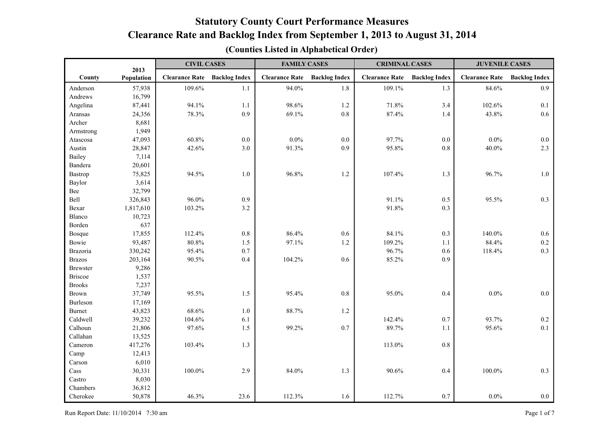|                 | 2013       | <b>CIVIL CASES</b>    |                      | <b>FAMILY CASES</b>   |                      | <b>CRIMINAL CASES</b> |                      | <b>JUVENILE CASES</b> |                      |
|-----------------|------------|-----------------------|----------------------|-----------------------|----------------------|-----------------------|----------------------|-----------------------|----------------------|
| County          | Population | <b>Clearance Rate</b> | <b>Backlog Index</b> | <b>Clearance Rate</b> | <b>Backlog Index</b> | <b>Clearance Rate</b> | <b>Backlog Index</b> | <b>Clearance Rate</b> | <b>Backlog Index</b> |
| Anderson        | 57,938     | 109.6%                | 1.1                  | 94.0%                 | 1.8                  | 109.1%                | 1.3                  | 84.6%                 | 0.9                  |
| Andrews         | 16,799     |                       |                      |                       |                      |                       |                      |                       |                      |
| Angelina        | 87,441     | 94.1%                 | 1.1                  | 98.6%                 | 1.2                  | 71.8%                 | 3.4                  | 102.6%                | 0.1                  |
| Aransas         | 24,356     | 78.3%                 | 0.9                  | 69.1%                 | 0.8                  | 87.4%                 | 1.4                  | 43.8%                 | 0.6                  |
| Archer          | 8,681      |                       |                      |                       |                      |                       |                      |                       |                      |
| Armstrong       | 1,949      |                       |                      |                       |                      |                       |                      |                       |                      |
| Atascosa        | 47,093     | 60.8%                 | $0.0\,$              | $0.0\%$               | $0.0\,$              | 97.7%                 | $0.0\,$              | $0.0\%$               | $0.0\,$              |
| Austin          | 28,847     | 42.6%                 | 3.0                  | 91.3%                 | 0.9                  | 95.8%                 | 0.8                  | 40.0%                 | 2.3                  |
| Bailey          | 7,114      |                       |                      |                       |                      |                       |                      |                       |                      |
| Bandera         | 20,601     |                       |                      |                       |                      |                       |                      |                       |                      |
| Bastrop         | 75,825     | 94.5%                 | 1.0                  | 96.8%                 | 1.2                  | 107.4%                | 1.3                  | 96.7%                 | $1.0\,$              |
| Baylor          | 3,614      |                       |                      |                       |                      |                       |                      |                       |                      |
| Bee             | 32,799     |                       |                      |                       |                      |                       |                      |                       |                      |
| Bell            | 326,843    | 96.0%                 | 0.9                  |                       |                      | 91.1%                 | $0.5\,$              | 95.5%                 | 0.3                  |
| Bexar           | 1,817,610  | 103.2%                | 3.2                  |                       |                      | 91.8%                 | 0.3                  |                       |                      |
| Blanco          | 10,723     |                       |                      |                       |                      |                       |                      |                       |                      |
| Borden          | 637        |                       |                      |                       |                      |                       |                      |                       |                      |
| Bosque          | 17,855     | 112.4%                | $0.8\,$              | 86.4%                 | 0.6                  | 84.1%                 | 0.3                  | 140.0%                | 0.6                  |
| Bowie           | 93,487     | 80.8%                 | 1.5                  | 97.1%                 | 1.2                  | 109.2%                | 1.1                  | 84.4%                 | 0.2                  |
| Brazoria        | 330,242    | 95.4%                 | 0.7                  |                       |                      | 96.7%                 | 0.6                  | 118.4%                | 0.3                  |
| <b>Brazos</b>   | 203,164    | 90.5%                 | 0.4                  | 104.2%                | 0.6                  | 85.2%                 | 0.9                  |                       |                      |
| <b>Brewster</b> | 9,286      |                       |                      |                       |                      |                       |                      |                       |                      |
| <b>Briscoe</b>  | 1,537      |                       |                      |                       |                      |                       |                      |                       |                      |
| <b>Brooks</b>   | 7,237      |                       |                      |                       |                      |                       |                      |                       |                      |
| Brown           | 37,749     | 95.5%                 | 1.5                  | 95.4%                 | 0.8                  | 95.0%                 | 0.4                  | $0.0\%$               | $0.0\,$              |
| Burleson        | 17,169     |                       |                      |                       |                      |                       |                      |                       |                      |
| <b>Burnet</b>   | 43,823     | 68.6%                 | 1.0                  | 88.7%                 | $1.2$                |                       |                      |                       |                      |
| Caldwell        | 39,232     | 104.6%                | 6.1                  |                       |                      | 142.4%                | 0.7                  | 93.7%                 | $0.2\,$              |
| Calhoun         | 21,806     | 97.6%                 | 1.5                  | 99.2%                 | 0.7                  | 89.7%                 | 1.1                  | 95.6%                 | 0.1                  |
| Callahan        | 13,525     |                       |                      |                       |                      |                       |                      |                       |                      |
| Cameron         | 417,276    | 103.4%                | 1.3                  |                       |                      | 113.0%                | $0.8\,$              |                       |                      |
| Camp            | 12,413     |                       |                      |                       |                      |                       |                      |                       |                      |
| Carson          | 6,010      |                       |                      |                       |                      |                       |                      |                       |                      |
| Cass            | 30,331     | $100.0\%$             | 2.9                  | 84.0%                 | 1.3                  | 90.6%                 | 0.4                  | 100.0%                | 0.3                  |
| Castro          | 8,030      |                       |                      |                       |                      |                       |                      |                       |                      |
| Chambers        | 36,812     |                       |                      |                       |                      |                       |                      |                       |                      |
| Cherokee        | 50,878     | 46.3%                 | 23.6                 | 112.3%                | 1.6                  | 112.7%                | 0.7                  | $0.0\%$               | $0.0\,$              |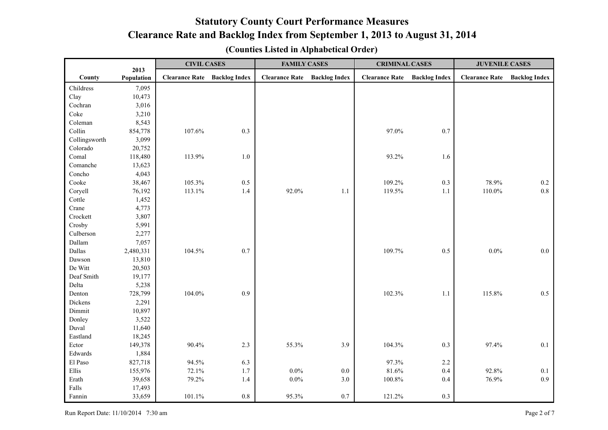|               |                    | <b>CIVIL CASES</b>    |                      | <b>FAMILY CASES</b>   |                      | <b>CRIMINAL CASES</b> |                      | <b>JUVENILE CASES</b> |                      |
|---------------|--------------------|-----------------------|----------------------|-----------------------|----------------------|-----------------------|----------------------|-----------------------|----------------------|
| County        | 2013<br>Population | <b>Clearance Rate</b> | <b>Backlog Index</b> | <b>Clearance Rate</b> | <b>Backlog Index</b> | <b>Clearance Rate</b> | <b>Backlog Index</b> | <b>Clearance Rate</b> | <b>Backlog Index</b> |
| Childress     | 7,095              |                       |                      |                       |                      |                       |                      |                       |                      |
| Clay          | 10,473             |                       |                      |                       |                      |                       |                      |                       |                      |
| Cochran       | 3,016              |                       |                      |                       |                      |                       |                      |                       |                      |
| Coke          | 3,210              |                       |                      |                       |                      |                       |                      |                       |                      |
| Coleman       | 8,543              |                       |                      |                       |                      |                       |                      |                       |                      |
| Collin        | 854,778            | 107.6%                | 0.3                  |                       |                      | 97.0%                 | 0.7                  |                       |                      |
| Collingsworth | 3,099              |                       |                      |                       |                      |                       |                      |                       |                      |
| Colorado      | 20,752             |                       |                      |                       |                      |                       |                      |                       |                      |
| Comal         | 118,480            | 113.9%                | 1.0                  |                       |                      | 93.2%                 | 1.6                  |                       |                      |
| Comanche      | 13,623             |                       |                      |                       |                      |                       |                      |                       |                      |
| Concho        | 4,043              |                       |                      |                       |                      |                       |                      |                       |                      |
| Cooke         | 38,467             | 105.3%                | $0.5\,$              |                       |                      | 109.2%                | 0.3                  | 78.9%                 | 0.2                  |
| Coryell       | 76,192             | 113.1%                | $1.4\,$              | 92.0%                 | 1.1                  | 119.5%                | $1.1\,$              | 110.0%                | $0.8\,$              |
| Cottle        | 1,452              |                       |                      |                       |                      |                       |                      |                       |                      |
| Crane         | 4,773              |                       |                      |                       |                      |                       |                      |                       |                      |
| Crockett      | 3,807              |                       |                      |                       |                      |                       |                      |                       |                      |
| Crosby        | 5,991              |                       |                      |                       |                      |                       |                      |                       |                      |
| Culberson     | 2,277              |                       |                      |                       |                      |                       |                      |                       |                      |
| Dallam        | 7,057              |                       |                      |                       |                      |                       |                      |                       |                      |
| Dallas        | 2,480,331          | 104.5%                | 0.7                  |                       |                      | 109.7%                | 0.5                  | $0.0\%$               | 0.0                  |
| Dawson        | 13,810             |                       |                      |                       |                      |                       |                      |                       |                      |
| De Witt       | 20,503             |                       |                      |                       |                      |                       |                      |                       |                      |
| Deaf Smith    | 19,177             |                       |                      |                       |                      |                       |                      |                       |                      |
| Delta         | 5,238              |                       |                      |                       |                      |                       |                      |                       |                      |
| Denton        | 728,799            | 104.0%                | 0.9                  |                       |                      | 102.3%                | 1.1                  | 115.8%                | 0.5                  |
| Dickens       | 2,291              |                       |                      |                       |                      |                       |                      |                       |                      |
| Dimmit        | 10,897             |                       |                      |                       |                      |                       |                      |                       |                      |
| Donley        | 3,522              |                       |                      |                       |                      |                       |                      |                       |                      |
| Duval         | 11,640             |                       |                      |                       |                      |                       |                      |                       |                      |
| Eastland      | 18,245             |                       |                      |                       |                      |                       |                      |                       |                      |
| Ector         | 149,378            | 90.4%                 | 2.3                  | 55.3%                 | 3.9                  | 104.3%                | 0.3                  | 97.4%                 | 0.1                  |
| Edwards       | 1,884              |                       |                      |                       |                      |                       |                      |                       |                      |
| El Paso       | 827,718            | 94.5%                 | 6.3                  |                       |                      | 97.3%                 | $2.2\,$              |                       |                      |
| Ellis         | 155,976            | 72.1%                 | 1.7                  | $0.0\%$               | $0.0\,$              | 81.6%                 | 0.4                  | 92.8%                 | 0.1                  |
| Erath         | 39,658             | 79.2%                 | 1.4                  | $0.0\%$               | 3.0                  | $100.8\%$             | 0.4                  | 76.9%                 | 0.9                  |
| Falls         | 17,493             |                       |                      |                       |                      |                       |                      |                       |                      |
| Fannin        | 33,659             | 101.1%                | $0.8\,$              | 95.3%                 | $0.7\,$              | 121.2%                | 0.3                  |                       |                      |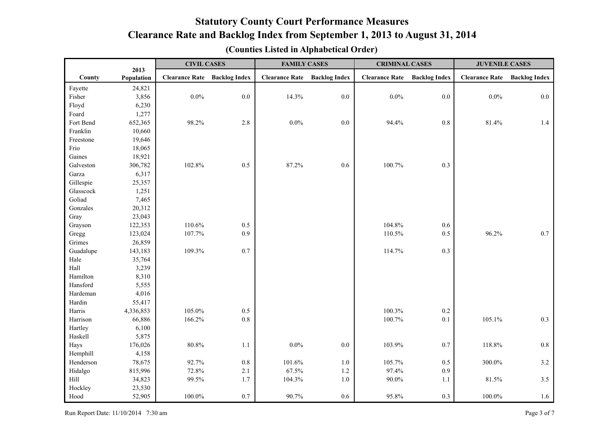|           | 2013       | <b>CIVIL CASES</b>    |                      | <b>FAMILY CASES</b>   |                      | <b>CRIMINAL CASES</b> |                      | <b>JUVENILE CASES</b> |                      |
|-----------|------------|-----------------------|----------------------|-----------------------|----------------------|-----------------------|----------------------|-----------------------|----------------------|
| County    | Population | <b>Clearance Rate</b> | <b>Backlog Index</b> | <b>Clearance Rate</b> | <b>Backlog Index</b> | <b>Clearance Rate</b> | <b>Backlog Index</b> | <b>Clearance Rate</b> | <b>Backlog Index</b> |
| Fayette   | 24,821     |                       |                      |                       |                      |                       |                      |                       |                      |
| Fisher    | 3,856      | 0.0%                  | 0.0                  | 14.3%                 | 0.0                  | $0.0\%$               | 0.0                  | $0.0\%$               | 0.0                  |
| Floyd     | 6,230      |                       |                      |                       |                      |                       |                      |                       |                      |
| Foard     | 1,277      |                       |                      |                       |                      |                       |                      |                       |                      |
| Fort Bend | 652,365    | 98.2%                 | 2.8                  | $0.0\%$               | 0.0                  | 94.4%                 | $0.8\,$              | 81.4%                 | 1.4                  |
| Franklin  | 10,660     |                       |                      |                       |                      |                       |                      |                       |                      |
| Freestone | 19,646     |                       |                      |                       |                      |                       |                      |                       |                      |
| Frio      | 18,065     |                       |                      |                       |                      |                       |                      |                       |                      |
| Gaines    | 18,921     |                       |                      |                       |                      |                       |                      |                       |                      |
| Galveston | 306,782    | 102.8%                | 0.5                  | 87.2%                 | 0.6                  | 100.7%                | 0.3                  |                       |                      |
| Garza     | 6,317      |                       |                      |                       |                      |                       |                      |                       |                      |
| Gillespie | 25,357     |                       |                      |                       |                      |                       |                      |                       |                      |
| Glasscock | 1,251      |                       |                      |                       |                      |                       |                      |                       |                      |
| Goliad    | 7,465      |                       |                      |                       |                      |                       |                      |                       |                      |
| Gonzales  | 20,312     |                       |                      |                       |                      |                       |                      |                       |                      |
| Gray      | 23,043     |                       |                      |                       |                      |                       |                      |                       |                      |
| Grayson   | 122,353    | 110.6%                | 0.5                  |                       |                      | 104.8%                | 0.6                  |                       |                      |
| Gregg     | 123,024    | 107.7%                | 0.9                  |                       |                      | 110.5%                | 0.5                  | 96.2%                 | 0.7                  |
| Grimes    | 26,859     |                       |                      |                       |                      |                       |                      |                       |                      |
| Guadalupe | 143,183    | 109.3%                | 0.7                  |                       |                      | 114.7%                | 0.3                  |                       |                      |
| Hale      | 35,764     |                       |                      |                       |                      |                       |                      |                       |                      |
| Hall      | 3,239      |                       |                      |                       |                      |                       |                      |                       |                      |
| Hamilton  | 8,310      |                       |                      |                       |                      |                       |                      |                       |                      |
| Hansford  | 5,555      |                       |                      |                       |                      |                       |                      |                       |                      |
| Hardeman  | 4,016      |                       |                      |                       |                      |                       |                      |                       |                      |
| Hardin    | 55,417     |                       |                      |                       |                      |                       |                      |                       |                      |
| Harris    | 4,336,853  | 105.0%                | 0.5                  |                       |                      | 100.3%                | $0.2\,$              |                       |                      |
| Harrison  | 66,886     | 166.2%                | 0.8                  |                       |                      | 100.7%                | $0.1\,$              | 105.1%                | 0.3                  |
| Hartley   | 6,100      |                       |                      |                       |                      |                       |                      |                       |                      |
| Haskell   | 5,875      |                       |                      |                       |                      |                       |                      |                       |                      |
| Hays      | 176,026    | 80.8%                 | 1.1                  | $0.0\%$               | $0.0\,$              | 103.9%                | 0.7                  | 118.8%                | $0.8\,$              |
| Hemphill  | 4,158      |                       |                      |                       |                      |                       |                      |                       |                      |
| Henderson | 78,675     | 92.7%                 | $0.8\,$              | 101.6%                | $1.0$                | 105.7%                | $0.5\,$              | 300.0%                | $3.2$                |
| Hidalgo   | 815,996    | 72.8%                 | 2.1                  | 67.5%                 | $1.2$                | 97.4%                 | 0.9                  |                       |                      |
| Hill      | 34,823     | 99.5%                 | 1.7                  | 104.3%                | $1.0\,$              | $90.0\%$              | $1.1\,$              | 81.5%                 | 3.5                  |
| Hockley   | 23,530     |                       |                      |                       |                      |                       |                      |                       |                      |
| Hood      | 52,905     | 100.0%                | 0.7                  | 90.7%                 | 0.6                  | 95.8%                 | 0.3                  | 100.0%                | 1.6                  |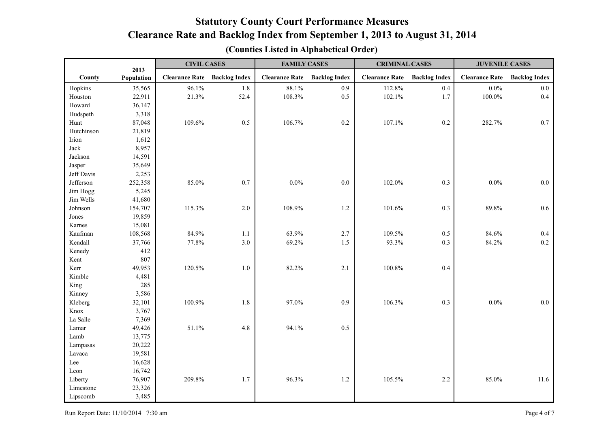|            | 2013       | <b>CIVIL CASES</b>    |                      | <b>FAMILY CASES</b>   |                      | <b>CRIMINAL CASES</b> |                      | <b>JUVENILE CASES</b> |                      |
|------------|------------|-----------------------|----------------------|-----------------------|----------------------|-----------------------|----------------------|-----------------------|----------------------|
| County     | Population | <b>Clearance Rate</b> | <b>Backlog Index</b> | <b>Clearance Rate</b> | <b>Backlog Index</b> | <b>Clearance Rate</b> | <b>Backlog Index</b> | <b>Clearance Rate</b> | <b>Backlog Index</b> |
| Hopkins    | 35,565     | 96.1%                 | 1.8                  | 88.1%                 | 0.9                  | 112.8%                | 0.4                  | $0.0\%$               | 0.0                  |
| Houston    | 22,911     | 21.3%                 | 52.4                 | 108.3%                | 0.5                  | 102.1%                | 1.7                  | $100.0\%$             | 0.4                  |
| Howard     | 36,147     |                       |                      |                       |                      |                       |                      |                       |                      |
| Hudspeth   | 3,318      |                       |                      |                       |                      |                       |                      |                       |                      |
| Hunt       | 87,048     | 109.6%                | 0.5                  | 106.7%                | 0.2                  | 107.1%                | $0.2\,$              | 282.7%                | 0.7                  |
| Hutchinson | 21,819     |                       |                      |                       |                      |                       |                      |                       |                      |
| Irion      | 1,612      |                       |                      |                       |                      |                       |                      |                       |                      |
| Jack       | 8,957      |                       |                      |                       |                      |                       |                      |                       |                      |
| Jackson    | 14,591     |                       |                      |                       |                      |                       |                      |                       |                      |
| Jasper     | 35,649     |                       |                      |                       |                      |                       |                      |                       |                      |
| Jeff Davis | 2,253      |                       |                      |                       |                      |                       |                      |                       |                      |
| Jefferson  | 252,358    | 85.0%                 | 0.7                  | $0.0\%$               | 0.0                  | 102.0%                | 0.3                  | $0.0\%$               | $0.0\,$              |
| Jim Hogg   | 5,245      |                       |                      |                       |                      |                       |                      |                       |                      |
| Jim Wells  | 41,680     |                       |                      |                       |                      |                       |                      |                       |                      |
| Johnson    | 154,707    | 115.3%                | 2.0                  | 108.9%                | 1.2                  | 101.6%                | 0.3                  | 89.8%                 | 0.6                  |
| Jones      | 19,859     |                       |                      |                       |                      |                       |                      |                       |                      |
| Karnes     | 15,081     |                       |                      |                       |                      |                       |                      |                       |                      |
| Kaufman    | 108,568    | 84.9%                 | 1.1                  | 63.9%                 | 2.7                  | 109.5%                | 0.5                  | 84.6%                 | 0.4                  |
| Kendall    | 37,766     | 77.8%                 | 3.0                  | 69.2%                 | 1.5                  | 93.3%                 | 0.3                  | 84.2%                 | 0.2                  |
| Kenedy     | 412        |                       |                      |                       |                      |                       |                      |                       |                      |
| Kent       | 807        |                       |                      |                       |                      |                       |                      |                       |                      |
| Kerr       | 49,953     | 120.5%                | 1.0                  | 82.2%                 | 2.1                  | 100.8%                | 0.4                  |                       |                      |
| Kimble     | 4,481      |                       |                      |                       |                      |                       |                      |                       |                      |
| King       | 285        |                       |                      |                       |                      |                       |                      |                       |                      |
| Kinney     | 3,586      |                       |                      |                       |                      |                       |                      |                       |                      |
| Kleberg    | 32,101     | 100.9%                | 1.8                  | 97.0%                 | 0.9                  | 106.3%                | 0.3                  | $0.0\%$               | $0.0\,$              |
| Knox       | 3,767      |                       |                      |                       |                      |                       |                      |                       |                      |
| La Salle   | 7,369      |                       |                      |                       |                      |                       |                      |                       |                      |
| Lamar      | 49,426     | 51.1%                 | 4.8                  | 94.1%                 | 0.5                  |                       |                      |                       |                      |
| Lamb       | 13,775     |                       |                      |                       |                      |                       |                      |                       |                      |
| Lampasas   | 20,222     |                       |                      |                       |                      |                       |                      |                       |                      |
| Lavaca     | 19,581     |                       |                      |                       |                      |                       |                      |                       |                      |
| Lee        | 16,628     |                       |                      |                       |                      |                       |                      |                       |                      |
| Leon       | 16,742     |                       |                      |                       |                      |                       |                      |                       |                      |
| Liberty    | 76,907     | 209.8%                | 1.7                  | 96.3%                 | $1.2\,$              | 105.5%                | $2.2\,$              | 85.0%                 | 11.6                 |
| Limestone  | 23,326     |                       |                      |                       |                      |                       |                      |                       |                      |
| Lipscomb   | 3,485      |                       |                      |                       |                      |                       |                      |                       |                      |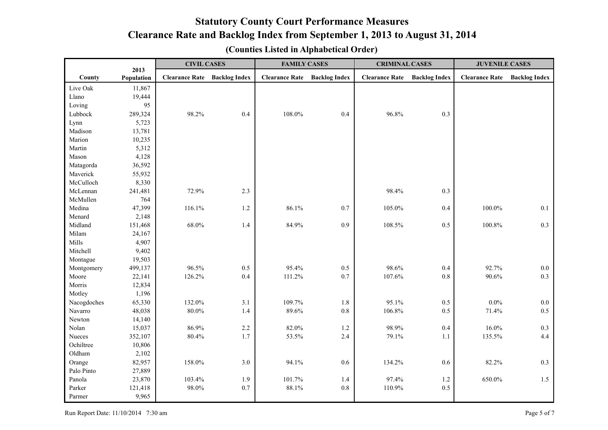|             |                    | <b>CIVIL CASES</b>    |                      | <b>FAMILY CASES</b>   |                      | <b>CRIMINAL CASES</b> |                      | <b>JUVENILE CASES</b> |                      |
|-------------|--------------------|-----------------------|----------------------|-----------------------|----------------------|-----------------------|----------------------|-----------------------|----------------------|
| County      | 2013<br>Population | <b>Clearance Rate</b> | <b>Backlog Index</b> | <b>Clearance Rate</b> | <b>Backlog Index</b> | <b>Clearance Rate</b> | <b>Backlog Index</b> | <b>Clearance Rate</b> | <b>Backlog Index</b> |
| Live Oak    | 11,867             |                       |                      |                       |                      |                       |                      |                       |                      |
| Llano       | 19,444             |                       |                      |                       |                      |                       |                      |                       |                      |
| Loving      | 95                 |                       |                      |                       |                      |                       |                      |                       |                      |
| Lubbock     | 289,324            | 98.2%                 | 0.4                  | 108.0%                | 0.4                  | 96.8%                 | 0.3                  |                       |                      |
| Lynn        | 5,723              |                       |                      |                       |                      |                       |                      |                       |                      |
| Madison     | 13,781             |                       |                      |                       |                      |                       |                      |                       |                      |
| Marion      | 10,235             |                       |                      |                       |                      |                       |                      |                       |                      |
| Martin      | 5,312              |                       |                      |                       |                      |                       |                      |                       |                      |
| Mason       | 4,128              |                       |                      |                       |                      |                       |                      |                       |                      |
| Matagorda   | 36,592             |                       |                      |                       |                      |                       |                      |                       |                      |
| Maverick    | 55,932             |                       |                      |                       |                      |                       |                      |                       |                      |
| McCulloch   | 8,330              |                       |                      |                       |                      |                       |                      |                       |                      |
| McLennan    | 241,481            | 72.9%                 | 2.3                  |                       |                      | 98.4%                 | 0.3                  |                       |                      |
| McMullen    | 764                |                       |                      |                       |                      |                       |                      |                       |                      |
| Medina      | 47,399             | 116.1%                | 1.2                  | 86.1%                 | 0.7                  | 105.0%                | 0.4                  | 100.0%                | 0.1                  |
| Menard      | 2,148              |                       |                      |                       |                      |                       |                      |                       |                      |
| Midland     | 151,468            | 68.0%                 | 1.4                  | 84.9%                 | 0.9                  | 108.5%                | 0.5                  | 100.8%                | 0.3                  |
| Milam       | 24,167             |                       |                      |                       |                      |                       |                      |                       |                      |
| Mills       | 4,907              |                       |                      |                       |                      |                       |                      |                       |                      |
| Mitchell    | 9,402              |                       |                      |                       |                      |                       |                      |                       |                      |
| Montague    | 19,503             |                       |                      |                       |                      |                       |                      |                       |                      |
| Montgomery  | 499,137            | 96.5%                 | $0.5\,$              | 95.4%                 | $0.5\,$              | 98.6%                 | 0.4                  | 92.7%                 | $0.0\,$              |
| Moore       | 22,141             | 126.2%                | 0.4                  | 111.2%                | 0.7                  | 107.6%                | $0.8\,$              | 90.6%                 | 0.3                  |
| Morris      | 12,834             |                       |                      |                       |                      |                       |                      |                       |                      |
| Motley      | 1,196              |                       |                      |                       |                      |                       |                      |                       |                      |
| Nacogdoches | 65,330             | 132.0%                | 3.1                  | 109.7%                | $1.8\,$              | 95.1%                 | $0.5\,$              | 0.0%                  | $0.0\,$              |
| Navarro     | 48,038             | $80.0\%$              | 1.4                  | 89.6%                 | 0.8                  | 106.8%                | 0.5                  | 71.4%                 | 0.5                  |
| Newton      | 14,140             |                       |                      |                       |                      |                       |                      |                       |                      |
| Nolan       | 15,037             | 86.9%                 | 2.2                  | 82.0%                 | $1.2\,$              | 98.9%                 | 0.4                  | $16.0\%$              | 0.3                  |
| Nueces      | 352,107            | 80.4%                 | 1.7                  | 53.5%                 | 2.4                  | 79.1%                 | $1.1\,$              | 135.5%                | 4.4                  |
| Ochiltree   | 10,806             |                       |                      |                       |                      |                       |                      |                       |                      |
| Oldham      | 2,102              |                       |                      |                       |                      |                       |                      |                       |                      |
| Orange      | 82,957             | 158.0%                | 3.0                  | 94.1%                 | 0.6                  | 134.2%                | 0.6                  | 82.2%                 | 0.3                  |
| Palo Pinto  | 27,889             |                       |                      |                       |                      |                       |                      |                       |                      |
| Panola      | 23,870             | 103.4%                | 1.9                  | 101.7%                | 1.4                  | 97.4%                 | 1.2                  | 650.0%                | 1.5                  |
| Parker      | 121,418            | 98.0%                 | 0.7                  | 88.1%                 | 0.8                  | 110.9%                | 0.5                  |                       |                      |
| Parmer      | 9,965              |                       |                      |                       |                      |                       |                      |                       |                      |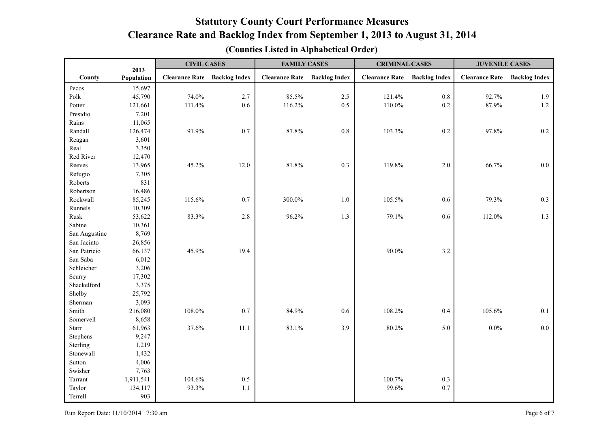|                | 2013       | <b>CIVIL CASES</b>    |                      | <b>FAMILY CASES</b>   |                      | <b>CRIMINAL CASES</b> |                      | <b>JUVENILE CASES</b> |                      |
|----------------|------------|-----------------------|----------------------|-----------------------|----------------------|-----------------------|----------------------|-----------------------|----------------------|
| County         | Population | <b>Clearance Rate</b> | <b>Backlog Index</b> | <b>Clearance Rate</b> | <b>Backlog Index</b> | <b>Clearance Rate</b> | <b>Backlog Index</b> | <b>Clearance Rate</b> | <b>Backlog Index</b> |
| $\mbox{Pecos}$ | 15,697     |                       |                      |                       |                      |                       |                      |                       |                      |
| Polk           | 45,790     | 74.0%                 | 2.7                  | 85.5%                 | 2.5                  | 121.4%                | $0.8\,$              | 92.7%                 | 1.9                  |
| Potter         | 121,661    | 111.4%                | 0.6                  | 116.2%                | 0.5                  | 110.0%                | 0.2                  | 87.9%                 | $1.2\,$              |
| Presidio       | 7,201      |                       |                      |                       |                      |                       |                      |                       |                      |
| Rains          | 11,065     |                       |                      |                       |                      |                       |                      |                       |                      |
| Randall        | 126,474    | 91.9%                 | 0.7                  | 87.8%                 | $0.8\,$              | 103.3%                | 0.2                  | 97.8%                 | $0.2\,$              |
| Reagan         | 3,601      |                       |                      |                       |                      |                       |                      |                       |                      |
| Real           | 3,350      |                       |                      |                       |                      |                       |                      |                       |                      |
| Red River      | 12,470     |                       |                      |                       |                      |                       |                      |                       |                      |
| Reeves         | 13,965     | 45.2%                 | 12.0                 | 81.8%                 | 0.3                  | 119.8%                | 2.0                  | 66.7%                 | $0.0\,$              |
| Refugio        | 7,305      |                       |                      |                       |                      |                       |                      |                       |                      |
| Roberts        | 831        |                       |                      |                       |                      |                       |                      |                       |                      |
| Robertson      | 16,486     |                       |                      |                       |                      |                       |                      |                       |                      |
| Rockwall       | 85,245     | 115.6%                | 0.7                  | 300.0%                | 1.0                  | 105.5%                | 0.6                  | 79.3%                 | 0.3                  |
| Runnels        | 10,309     |                       |                      |                       |                      |                       |                      |                       |                      |
| Rusk           | 53,622     | 83.3%                 | 2.8                  | 96.2%                 | 1.3                  | 79.1%                 | $0.6\,$              | 112.0%                | 1.3                  |
| Sabine         | 10,361     |                       |                      |                       |                      |                       |                      |                       |                      |
| San Augustine  | 8,769      |                       |                      |                       |                      |                       |                      |                       |                      |
| San Jacinto    | 26,856     |                       |                      |                       |                      |                       |                      |                       |                      |
| San Patricio   | 66,137     | 45.9%                 | 19.4                 |                       |                      | 90.0%                 | 3.2                  |                       |                      |
| San Saba       | 6,012      |                       |                      |                       |                      |                       |                      |                       |                      |
| Schleicher     | 3,206      |                       |                      |                       |                      |                       |                      |                       |                      |
| Scurry         | 17,302     |                       |                      |                       |                      |                       |                      |                       |                      |
| Shackelford    | 3,375      |                       |                      |                       |                      |                       |                      |                       |                      |
| Shelby         | 25,792     |                       |                      |                       |                      |                       |                      |                       |                      |
| Sherman        | 3,093      |                       |                      |                       |                      |                       |                      |                       |                      |
| Smith          | 216,080    | 108.0%                | 0.7                  | 84.9%                 | 0.6                  | 108.2%                | 0.4                  | 105.6%                | 0.1                  |
| Somervell      | 8,658      |                       |                      |                       |                      |                       |                      |                       |                      |
| Starr          | 61,963     | 37.6%                 | 11.1                 | 83.1%                 | 3.9                  | 80.2%                 | 5.0                  | $0.0\%$               | 0.0                  |
| Stephens       | 9,247      |                       |                      |                       |                      |                       |                      |                       |                      |
| Sterling       | 1,219      |                       |                      |                       |                      |                       |                      |                       |                      |
| Stonewall      | 1,432      |                       |                      |                       |                      |                       |                      |                       |                      |
| Sutton         | 4,006      |                       |                      |                       |                      |                       |                      |                       |                      |
| Swisher        | 7,763      |                       |                      |                       |                      |                       |                      |                       |                      |
| Tarrant        | 1,911,541  | 104.6%                | $0.5\,$              |                       |                      | 100.7%                | 0.3                  |                       |                      |
| Taylor         | 134,117    | 93.3%                 | 1.1                  |                       |                      | 99.6%                 | 0.7                  |                       |                      |
| Terrell        | 903        |                       |                      |                       |                      |                       |                      |                       |                      |